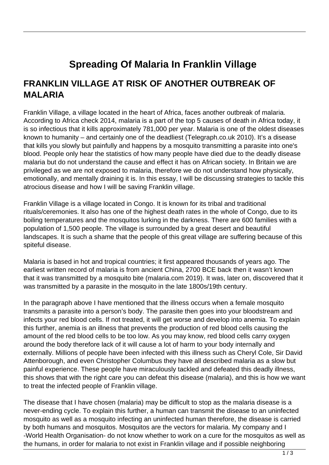## **Spreading Of Malaria In Franklin Village**

## **FRANKLIN VILLAGE AT RISK OF ANOTHER OUTBREAK OF MALARIA**

Franklin Village, a village located in the heart of Africa, faces another outbreak of malaria. According to Africa check 2014, malaria is a part of the top 5 causes of death in Africa today, it is so infectious that it kills approximately 781,000 per year. Malaria is one of the oldest diseases known to humanity – and certainly one of the deadliest (Telegraph.co.uk 2010). It's a disease that kills you slowly but painfully and happens by a mosquito transmitting a parasite into one's blood. People only hear the statistics of how many people have died due to the deadly disease malaria but do not understand the cause and effect it has on African society. In Britain we are privileged as we are not exposed to malaria, therefore we do not understand how physically, emotionally, and mentally draining it is. In this essay, I will be discussing strategies to tackle this atrocious disease and how I will be saving Franklin village.

Franklin Village is a village located in Congo. It is known for its tribal and traditional rituals/ceremonies. It also has one of the highest death rates in the whole of Congo, due to its boiling temperatures and the mosquitos lurking in the darkness. There are 600 families with a population of 1,500 people. The village is surrounded by a great desert and beautiful landscapes. It is such a shame that the people of this great village are suffering because of this spiteful disease.

Malaria is based in hot and tropical countries; it first appeared thousands of years ago. The earliest written record of malaria is from ancient China, 2700 BCE back then it wasn't known that it was transmitted by a mosquito bite (malaria.com 2019). It was, later on, discovered that it was transmitted by a parasite in the mosquito in the late 1800s/19th century.

In the paragraph above I have mentioned that the illness occurs when a female mosquito transmits a parasite into a person's body. The parasite then goes into your bloodstream and infects your red blood cells. If not treated, it will get worse and develop into anemia. To explain this further, anemia is an illness that prevents the production of red blood cells causing the amount of the red blood cells to be too low. As you may know, red blood cells carry oxygen around the body therefore lack of it will cause a lot of harm to your body internally and externally. Millions of people have been infected with this illness such as Cheryl Cole, Sir David Attenborough, and even Christopher Columbus they have all described malaria as a slow but painful experience. These people have miraculously tackled and defeated this deadly illness, this shows that with the right care you can defeat this disease (malaria), and this is how we want to treat the infected people of Franklin village.

The disease that I have chosen (malaria) may be difficult to stop as the malaria disease is a never-ending cycle. To explain this further, a human can transmit the disease to an uninfected mosquito as well as a mosquito infecting an uninfected human therefore, the disease is carried by both humans and mosquitos. Mosquitos are the vectors for malaria. My company and I -World Health Organisation- do not know whether to work on a cure for the mosquitos as well as the humans, in order for malaria to not exist in Franklin village and if possible neighboring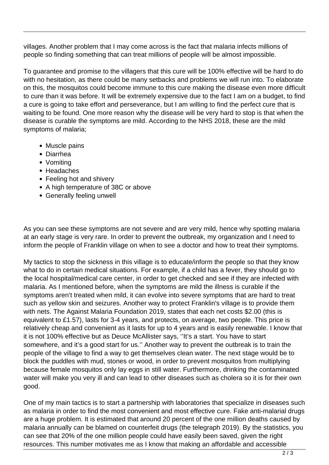villages. Another problem that I may come across is the fact that malaria infects millions of people so finding something that can treat millions of people will be almost impossible.

To guarantee and promise to the villagers that this cure will be 100% effective will be hard to do with no hesitation, as there could be many setbacks and problems we will run into. To elaborate on this, the mosquitos could become immune to this cure making the disease even more difficult to cure than it was before. It will be extremely expensive due to the fact I am on a budget, to find a cure is going to take effort and perseverance, but I am willing to find the perfect cure that is waiting to be found. One more reason why the disease will be very hard to stop is that when the disease is curable the symptoms are mild. According to the NHS 2018, these are the mild symptoms of malaria;

- Muscle pains
- Diarrhea
- Vomiting
- Headaches
- Feeling hot and shivery
- A high temperature of 38C or above
- Generally feeling unwell

As you can see these symptoms are not severe and are very mild, hence why spotting malaria at an early stage is very rare. In order to prevent the outbreak, my organization and I need to inform the people of Franklin village on when to see a doctor and how to treat their symptoms.

My tactics to stop the sickness in this village is to educate/inform the people so that they know what to do in certain medical situations. For example, if a child has a fever, they should go to the local hospital/medical care center, in order to get checked and see if they are infected with malaria. As I mentioned before, when the symptoms are mild the illness is curable if the symptoms aren't treated when mild, it can evolve into severe symptoms that are hard to treat such as yellow skin and seizures. Another way to protect Franklin's village is to provide them with nets. The Against Malaria Foundation 2019, states that each net costs \$2.00 (this is equivalent to £1.57), lasts for 3-4 years, and protects, on average, two people. This price is relatively cheap and convenient as it lasts for up to 4 years and is easily renewable. I know that it is not 100% effective but as Deuce McAllister says, ''It's a start. You have to start somewhere, and it's a good start for us.'' Another way to prevent the outbreak is to train the people of the village to find a way to get themselves clean water. The next stage would be to block the puddles with mud, stones or wood, in order to prevent mosquitos from multiplying because female mosquitos only lay eggs in still water. Furthermore, drinking the contaminated water will make you very ill and can lead to other diseases such as cholera so it is for their own good.

One of my main tactics is to start a partnership with laboratories that specialize in diseases such as malaria in order to find the most convenient and most effective cure. Fake anti-malarial drugs are a huge problem. It is estimated that around 20 percent of the one million deaths caused by malaria annually can be blamed on counterfeit drugs (the telegraph 2019). By the statistics, you can see that 20% of the one million people could have easily been saved, given the right resources. This number motivates me as I know that making an affordable and accessible